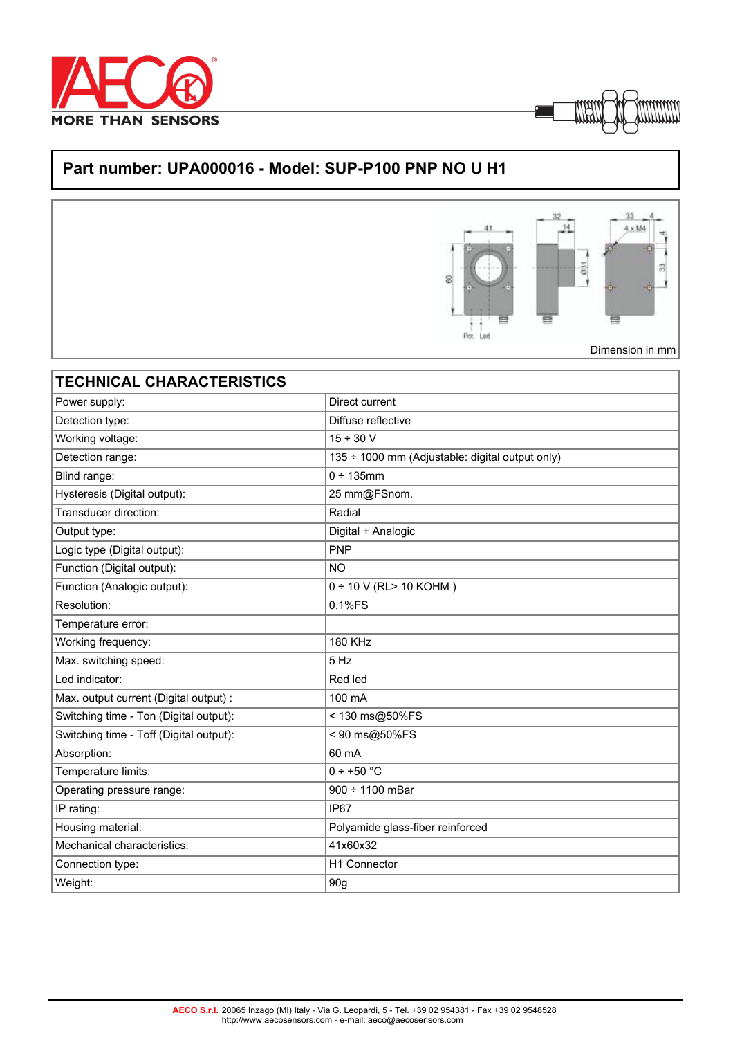



## **Part number: UPA000016 - Model: SUP-P100 PNP NO U H1**



| <b>TECHNICAL CHARACTERISTICS</b>        |                                                 |
|-----------------------------------------|-------------------------------------------------|
| Power supply:                           | Direct current                                  |
| Detection type:                         | Diffuse reflective                              |
| Working voltage:                        | $15 \div 30$ V                                  |
| Detection range:                        | 135 ÷ 1000 mm (Adjustable: digital output only) |
| Blind range:                            | 0 ÷ 135mm                                       |
| Hysteresis (Digital output):            | 25 mm@FSnom.                                    |
| Transducer direction:                   | Radial                                          |
| Output type:                            | Digital + Analogic                              |
| Logic type (Digital output):            | <b>PNP</b>                                      |
| Function (Digital output):              | <b>NO</b>                                       |
| Function (Analogic output):             | $0 \div 10$ V (RL> 10 KOHM)                     |
| Resolution:                             | 0.1%FS                                          |
| Temperature error:                      |                                                 |
| Working frequency:                      | <b>180 KHz</b>                                  |
| Max. switching speed:                   | 5 Hz                                            |
| Led indicator:                          | Red led                                         |
| Max. output current (Digital output) :  | 100 mA                                          |
| Switching time - Ton (Digital output):  | < 130 ms@50%FS                                  |
| Switching time - Toff (Digital output): | < 90 ms@50%FS                                   |
| Absorption:                             | 60 mA                                           |
| Temperature limits:                     | $0 \div +50$ °C                                 |
| Operating pressure range:               | $900 \div 1100$ mBar                            |
| IP rating:                              | IP67                                            |
| Housing material:                       | Polyamide glass-fiber reinforced                |
| Mechanical characteristics:             | 41x60x32                                        |
| Connection type:                        | H1 Connector                                    |
| Weight:                                 | 90 <sub>g</sub>                                 |